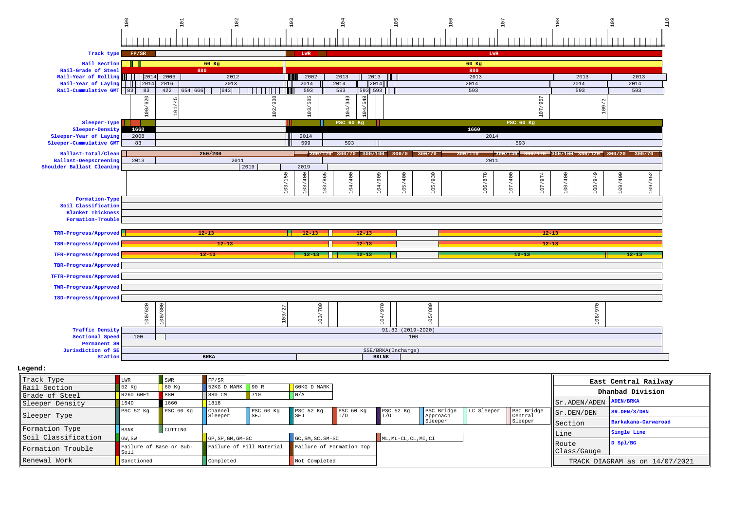## 100 101 102 103 104 105 106 107 108 109 110  $1111$  $| | |$  $\Box$  $11111$  $111111$  $1 + 1$  $\perp$  $11111$  $+1$ **Track type FP/SR LWR LWR Rail Section 60 Kg 60 Kg Rail-Grade of Steel <sup>880</sup> <sup>880</sup> Rail-Year of Rolling** 2014 2006 <sup>2014</sup> <sup>2006</sup> <sup>2012</sup> <sup>2002</sup> <sup>2013</sup> <sup>2013</sup> <sup>2013</sup> <sup>2013</sup> <sup>2013</sup> **Rail-Year of Laying** 2014 2016 <sup>2014</sup> <sup>2016</sup> <sup>2013</sup> <sup>2014</sup> <sup>2014</sup> <sup>2014</sup> <sup>2014</sup> <sup>2014</sup> <sup>2014</sup> **Rail-Cummulative GMT** <sup>83</sup> <sup>83</sup> <sup>422</sup> <sup>654</sup> <sup>666</sup> <sup>643</sup> <sup>593</sup> <sup>593</sup> <sup>593</sup> <sup>593</sup> <sup>593</sup> <sup>593</sup> <sup>593</sup> 100/620 102/938 103/585 104/343 104/548 107/957  $104/$ 109/2  $10<sub>1</sub>$ **Sleeper-TypePSC 60 Kg PSC 60 Kg PSC 60 Kg PSC 60 Kg PSC 60 Kg PSC 60 Kg PSC 60 Kg Sleeper-Density <sup>1660</sup> <sup>1660</sup> Sleeper-Year of Laying2008 2008 2014 2014 2014 2014 2015 2016 2017 2018 2019 2016 2017 2018 2018 2018 Sleeper-Cummulative GMT** <sup>83</sup> <sup>599</sup> <sup>593</sup> <sup>593</sup> **250/200 300/120 300/70 300/100 300/0 300/70 300/110 300/140 300/170 300/100 300/120 300/20 300/70 Ballast-Total/CleanBallast-Deepscreeningg** 2013 2011 2011 2011 2011 2012 2013 2014 2015 **Shoulder Ballast Cleaningg** 2019 2019 2019 2019  $105/930$ 106/878 107/400  $109/952$ 103/865 104/400 105/400 108/400 108/949 109/400 103/865 104/909 107/974 107/974 109/952 103/150 103/400 104/400 104/909 105/400 105/930 106/878 107/400 108/400 108/949 109/400 **Formation-Type Soil Classification Blanket Thickness Formation-TroubleTRR-Progress/Approved 12-13 12-13 12-13 12-13 TSR-Progress/Approved 12-13 12-13 12-13 TFR-Progress/Approved 12-13 12-13 12-13 12-13 12-13 TBR-Progress/ApprovedTFTR-Progress/ApprovedTWR-Progress/ApprovedISD-Progress/Approved** $rac{620}{800}$  $\frac{1}{280}$ **970**  $\overline{88}$ 970 103/27

|                    |     | $\circ$            |  |  |              |                   |  |  |  |  |  |  |
|--------------------|-----|--------------------|--|--|--------------|-------------------|--|--|--|--|--|--|
| Traffic Density    |     |                    |  |  |              | 91.83 (2019-2020) |  |  |  |  |  |  |
| Sectional Speed    | 100 | 100                |  |  |              |                   |  |  |  |  |  |  |
| Permanent SR       |     |                    |  |  |              |                   |  |  |  |  |  |  |
| Jurisdiction of SE |     | SSE/BRKA(Incharge) |  |  |              |                   |  |  |  |  |  |  |
| Station            |     | <b>BRKA</b>        |  |  | <b>BKLNK</b> |                   |  |  |  |  |  |  |

## **Legend:**

| Track Type          |                                 | SWR       | FP/SR                    |                  |                             |                  |                       |                        |            |                       |                                  | East Central Railway           |
|---------------------|---------------------------------|-----------|--------------------------|------------------|-----------------------------|------------------|-----------------------|------------------------|------------|-----------------------|----------------------------------|--------------------------------|
| Rail Section        | 52 Kg                           | 60 Kq     | 52KG D MARK              | 90 R             | $\vert$ 60KG D MARK $\vert$ |                  |                       |                        |            |                       |                                  |                                |
| Grade of Steel      | R260 60E1                       | 880       | 880 CM                   | 710              | $\vert N/A \vert$           |                  |                       |                        |            |                       |                                  | Dhanbad Division               |
| Sleeper Density     | 1540                            | 1660      | 1818                     |                  |                             |                  |                       |                        |            |                       | $  $ Sr. ADEN/ADEN $ $ ADEN/BRKA |                                |
| Sleeper Type        | PSC <sub>52</sub> Kq            | PSC 60 Kg | Channel<br>Sleeper       | PSC 60 Kg<br>SEJ | PSC 52 Kg<br><b>SEJ</b>     | PSC 60 Kg<br>T/0 | PSC 52 Kg<br>T/O      | PSC Bridge<br>Approach | LC Sleeper | PSC Bridge<br>Central | Sr.DEN/DEN                       | SR.DEN/3/DHN                   |
|                     |                                 |           |                          |                  |                             |                  |                       | Sleeper                |            | Sleeper               | Section                          | Barkakana-Garwaroad            |
| Formation Type      | BANK                            | CUTTING   |                          |                  |                             |                  |                       |                        |            |                       |                                  | Single Line                    |
| Soil Classification | GW, SW                          |           | GP, SP, GM, GM-GC        |                  | $GC, SM, SC, SM-SC$         |                  | ML, ML-CL, CL, MI, CI |                        |            |                       | Line                             |                                |
| Formation Trouble   | Failure of Base or Sub-<br>SOIT |           | Failure of Fill Material |                  | Failure of Formation Top    |                  |                       |                        |            |                       | Route<br>Class/Gauge             | $D$ Spl/BG                     |
| Renewal Work        | Sanctioned                      |           | Completed                |                  | Not Completed               |                  |                       |                        |            |                       |                                  | TRACK DIAGRAM as on 14/07/2021 |